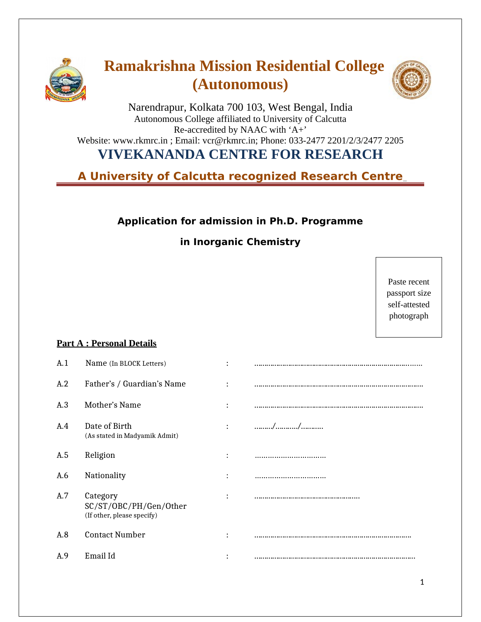

# **Ramakrishna Mission Residential College (Autonomous)**



Narendrapur, Kolkata 700 103, West Bengal, India Autonomous College affiliated to University of Calcutta Re-accredited by NAAC with 'A+' Website: www.rkmrc.in ; Email: vcr@rkmrc.in; Phone: 033-2477 2201/2/3/2477 2205

# **VIVEKANANDA CENTRE FOR RESEARCH**

**A University of Calcutta recognized Research Centre** 

## **Application for admission in Ph.D. Programme**

## **in Inorganic Chemistry**

Paste recent passport size self-attested photograph

### **Part A : Personal Details**

| A.1 | Name (In BLOCK Letters)                                          |                |       |
|-----|------------------------------------------------------------------|----------------|-------|
| A.2 | Father's / Guardian's Name                                       | $\ddot{\cdot}$ |       |
| A.3 | Mother's Name                                                    | $\ddot{\cdot}$ |       |
| A.4 | Date of Birth<br>(As stated in Madyamik Admit)                   | $\ddot{\cdot}$ | . / / |
| A.5 | Religion                                                         | $\ddot{\cdot}$ |       |
| A.6 | Nationality                                                      | $\ddot{\cdot}$ |       |
| A.7 | Category<br>SC/ST/OBC/PH/Gen/Other<br>(If other, please specify) | $\ddot{\cdot}$ |       |
| A.8 | <b>Contact Number</b>                                            | $\bullet$      |       |
| A.9 | Email Id                                                         |                |       |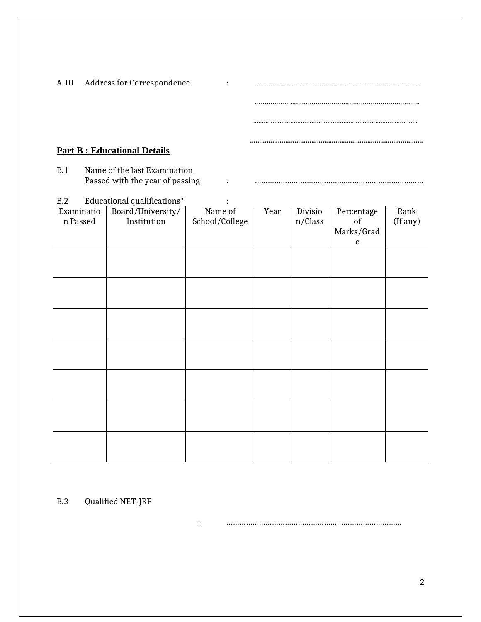|      | <b>Part B: Educational Details</b> |   |  |
|------|------------------------------------|---|--|
|      |                                    |   |  |
|      |                                    |   |  |
| A.10 | Address for Correspondence         | ٠ |  |

B.1 Name of the last Examination Passed with the year of passing : ……………………………………………………………………

| B.2<br>Educational qualifications* |                                  |                           |      |                    |                                             |                  |
|------------------------------------|----------------------------------|---------------------------|------|--------------------|---------------------------------------------|------------------|
| Examinatio<br>n Passed             | Board/University/<br>Institution | Name of<br>School/College | Year | Divisio<br>n/Class | Percentage<br>$\sigma f$<br>Marks/Grad<br>e | Rank<br>(If any) |
|                                    |                                  |                           |      |                    |                                             |                  |
|                                    |                                  |                           |      |                    |                                             |                  |
|                                    |                                  |                           |      |                    |                                             |                  |
|                                    |                                  |                           |      |                    |                                             |                  |
|                                    |                                  |                           |      |                    |                                             |                  |
|                                    |                                  |                           |      |                    |                                             |                  |
|                                    |                                  |                           |      |                    |                                             |                  |
|                                    |                                  |                           |      |                    |                                             |                  |

B.3 Qualified NET-JRF

: ………………………………………………………………………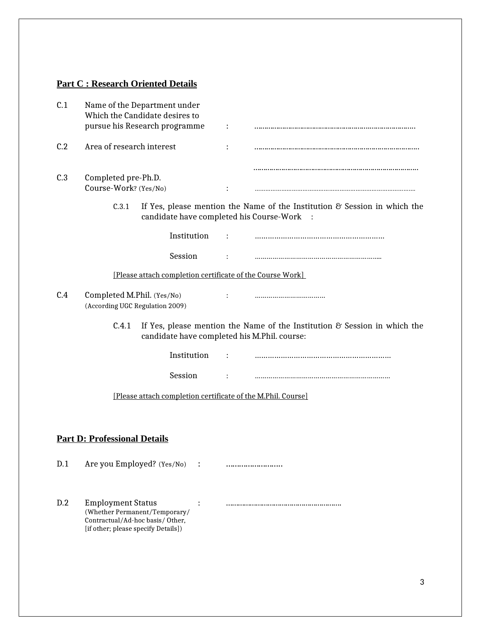## **Part C : Research Oriented Details**

| C.1                                                          | Name of the Department under<br>Which the Candidate desires to<br>pursue his Research programme                                               |                |                                                                                                   |  |  |  |
|--------------------------------------------------------------|-----------------------------------------------------------------------------------------------------------------------------------------------|----------------|---------------------------------------------------------------------------------------------------|--|--|--|
| C.2                                                          | Area of research interest                                                                                                                     | $\ddot{\cdot}$ |                                                                                                   |  |  |  |
| C.3                                                          | Completed pre-Ph.D.<br>Course-Work? (Yes/No)                                                                                                  |                |                                                                                                   |  |  |  |
|                                                              | C.3.1<br>candidate have completed his Course-Work                                                                                             |                | If Yes, please mention the Name of the Institution & Session in which the<br>$\ddot{\phantom{1}}$ |  |  |  |
|                                                              | Institution                                                                                                                                   |                |                                                                                                   |  |  |  |
|                                                              | Session                                                                                                                                       |                |                                                                                                   |  |  |  |
|                                                              | [Please attach completion certificate of the Course Work]                                                                                     |                |                                                                                                   |  |  |  |
| C.4                                                          | Completed M.Phil. (Yes/No)<br>(According UGC Regulation 2009)                                                                                 |                |                                                                                                   |  |  |  |
|                                                              | C.4.1<br>If Yes, please mention the Name of the Institution $\mathcal C$ Session in which the<br>candidate have completed his M.Phil. course: |                |                                                                                                   |  |  |  |
|                                                              | Institution                                                                                                                                   |                |                                                                                                   |  |  |  |
|                                                              | Session                                                                                                                                       |                |                                                                                                   |  |  |  |
| [Please attach completion certificate of the M.Phil. Course] |                                                                                                                                               |                |                                                                                                   |  |  |  |
|                                                              |                                                                                                                                               |                |                                                                                                   |  |  |  |
|                                                              | <b>Part D: Professional Details</b>                                                                                                           |                |                                                                                                   |  |  |  |
| D.1                                                          | Are you Employed? (Yes/No)                                                                                                                    |                |                                                                                                   |  |  |  |
| D.2                                                          | <b>Employment Status</b><br>(Whether Permanent/Temporary/<br>Contractual/Ad-hoc basis/Other,<br>[if other; please specify Details])           |                |                                                                                                   |  |  |  |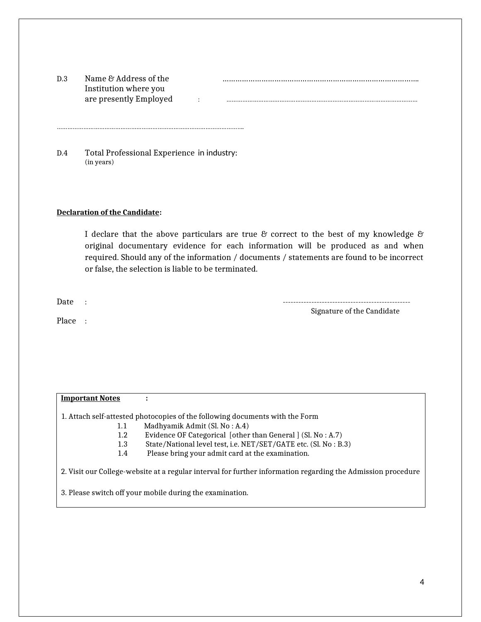| D.3 | Name & Address of the  |  |
|-----|------------------------|--|
|     | Institution where you  |  |
|     | are presently Employed |  |

| $\rm{D.3}$ | Name & Address of the  |  |
|------------|------------------------|--|
|            | Institution where you  |  |
|            | are presently Employed |  |

D.4 Total Professional Experience in industry: (in years)

…………………………………………………………………………………………….

#### **Declaration of the Candidate:**

I declare that the above particulars are true  $\mathcal C$  correct to the best of my knowledge  $\mathcal C$ original documentary evidence for each information will be produced as and when required. Should any of the information / documents / statements are found to be incorrect or false, the selection is liable to be terminated.

Date : Signature of the Candidate

Place :

#### **Important Notes :**

1. Attach self-attested photocopies of the following documents with the Form

- 1.1 Madhyamik Admit (Sl. No : A.4)
- 1.2 Evidence OF Categorical [other than General ] (Sl. No : A.7)
- 1.3 State/National level test, i.e. NET/SET/GATE etc. (Sl. No : B.3)<br>1.4 Please bring your admit card at the examination.
- Please bring your admit card at the examination.

2. Visit our College-website at a regular interval for further information regarding the Admission procedure

3. Please switch off your mobile during the examination.